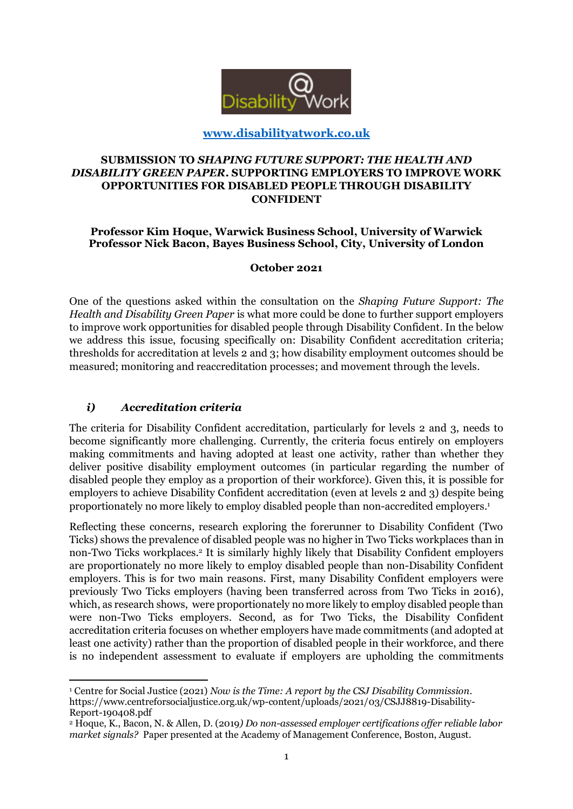

## **[www.disabilityatwork.co.uk](http://www.disabilityatwork.co.uk/)**

## **SUBMISSION TO** *SHAPING FUTURE SUPPORT: THE HEALTH AND DISABILITY GREEN PAPER***. SUPPORTING EMPLOYERS TO IMPROVE WORK OPPORTUNITIES FOR DISABLED PEOPLE THROUGH DISABILITY CONFIDENT**

#### **Professor Kim Hoque, Warwick Business School, University of Warwick Professor Nick Bacon, Bayes Business School, City, University of London**

#### **October 2021**

One of the questions asked within the consultation on the *Shaping Future Support: The Health and Disability Green Paper* is what more could be done to further support employers to improve work opportunities for disabled people through Disability Confident. In the below we address this issue, focusing specifically on: Disability Confident accreditation criteria; thresholds for accreditation at levels 2 and 3; how disability employment outcomes should be measured; monitoring and reaccreditation processes; and movement through the levels.

## *i) Accreditation criteria*

1

The criteria for Disability Confident accreditation, particularly for levels 2 and 3, needs to become significantly more challenging. Currently, the criteria focus entirely on employers making commitments and having adopted at least one activity, rather than whether they deliver positive disability employment outcomes (in particular regarding the number of disabled people they employ as a proportion of their workforce). Given this, it is possible for employers to achieve Disability Confident accreditation (even at levels 2 and 3) despite being proportionately no more likely to employ disabled people than non-accredited employers. 1

Reflecting these concerns, research exploring the forerunner to Disability Confident (Two Ticks) shows the prevalence of disabled people was no higher in Two Ticks workplaces than in non-Two Ticks workplaces.<sup>2</sup> It is similarly highly likely that Disability Confident employers are proportionately no more likely to employ disabled people than non-Disability Confident employers. This is for two main reasons. First, many Disability Confident employers were previously Two Ticks employers (having been transferred across from Two Ticks in 2016), which, as research shows, were proportionately no more likely to employ disabled people than were non-Two Ticks employers. Second, as for Two Ticks, the Disability Confident accreditation criteria focuses on whether employers have made commitments (and adopted at least one activity) rather than the proportion of disabled people in their workforce, and there is no independent assessment to evaluate if employers are upholding the commitments

<sup>1</sup> Centre for Social Justice (2021) *Now is the Time: A report by the CSJ Disability Commission*. https://www.centreforsocialjustice.org.uk/wp-content/uploads/2021/03/CSJJ8819-Disability-Report-190408.pdf

<sup>2</sup> Hoque, K., Bacon, N. & Allen, D. (2019*) Do non-assessed employer certifications offer reliable labor market signals?* Paper presented at the Academy of Management Conference, Boston, August.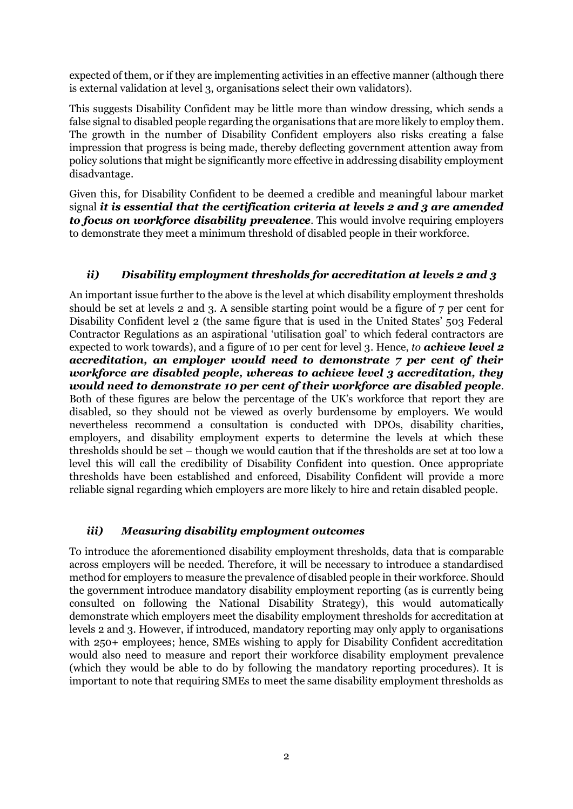expected of them, or if they are implementing activities in an effective manner (although there is external validation at level 3, organisations select their own validators).

This suggests Disability Confident may be little more than window dressing, which sends a false signal to disabled people regarding the organisations that are more likely to employ them. The growth in the number of Disability Confident employers also risks creating a false impression that progress is being made, thereby deflecting government attention away from policy solutions that might be significantly more effective in addressing disability employment disadvantage.

Given this, for Disability Confident to be deemed a credible and meaningful labour market signal *it is essential that the certification criteria at levels 2 and 3 are amended to focus on workforce disability prevalence.* This would involve requiring employers to demonstrate they meet a minimum threshold of disabled people in their workforce.

## *ii) Disability employment thresholds for accreditation at levels 2 and 3*

An important issue further to the above is the level at which disability employment thresholds should be set at levels 2 and 3. A sensible starting point would be a figure of 7 per cent for Disability Confident level 2 (the same figure that is used in the United States' 503 Federal Contractor Regulations as an aspirational 'utilisation goal' to which federal contractors are expected to work towards), and a figure of 10 per cent for level 3. Hence, *to achieve level 2 accreditation, an employer would need to demonstrate 7 per cent of their workforce are disabled people, whereas to achieve level 3 accreditation, they would need to demonstrate 10 per cent of their workforce are disabled people*. Both of these figures are below the percentage of the UK's workforce that report they are disabled, so they should not be viewed as overly burdensome by employers. We would nevertheless recommend a consultation is conducted with DPOs, disability charities, employers, and disability employment experts to determine the levels at which these thresholds should be set – though we would caution that if the thresholds are set at too low a level this will call the credibility of Disability Confident into question. Once appropriate thresholds have been established and enforced, Disability Confident will provide a more reliable signal regarding which employers are more likely to hire and retain disabled people.

## *iii) Measuring disability employment outcomes*

To introduce the aforementioned disability employment thresholds, data that is comparable across employers will be needed. Therefore, it will be necessary to introduce a standardised method for employers to measure the prevalence of disabled people in their workforce. Should the government introduce mandatory disability employment reporting (as is currently being consulted on following the National Disability Strategy), this would automatically demonstrate which employers meet the disability employment thresholds for accreditation at levels 2 and 3. However, if introduced, mandatory reporting may only apply to organisations with 250+ employees; hence, SMEs wishing to apply for Disability Confident accreditation would also need to measure and report their workforce disability employment prevalence (which they would be able to do by following the mandatory reporting procedures). It is important to note that requiring SMEs to meet the same disability employment thresholds as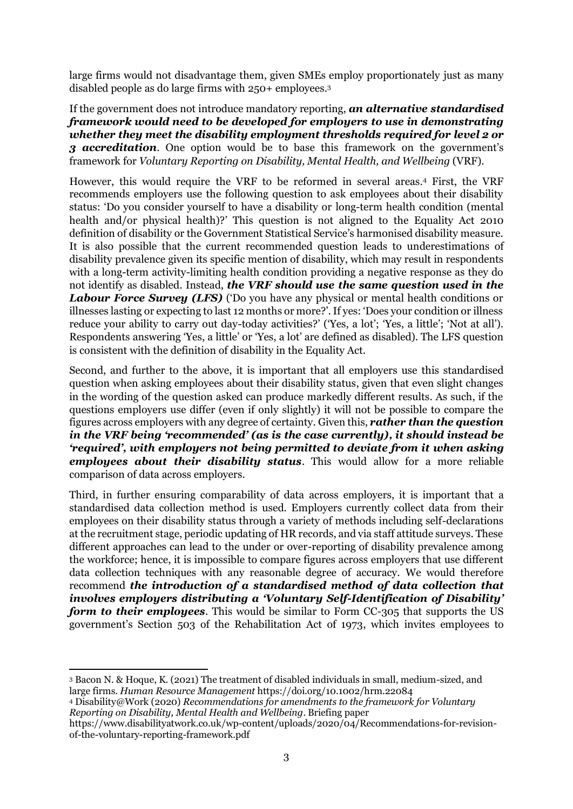large firms would not disadvantage them, given SMEs employ proportionately just as many disabled people as do large firms with 250+ employees.<sup>3</sup>

If the government does not introduce mandatory reporting, *an alternative standardised framework would need to be developed for employers to use in demonstrating whether they meet the disability employment thresholds required for level 2 or 3 accreditation*. One option would be to base this framework on the government's framework for *Voluntary Reporting on Disability, Mental Health, and Wellbeing* (VRF).

However, this would require the VRF to be reformed in several areas. <sup>4</sup> First, the VRF recommends employers use the following question to ask employees about their disability status: 'Do you consider yourself to have a disability or long-term health condition (mental health and/or physical health)?' This question is not aligned to the Equality Act 2010 definition of disability or the Government Statistical Service's harmonised disability measure. It is also possible that the current recommended question leads to underestimations of disability prevalence given its specific mention of disability, which may result in respondents with a long-term activity-limiting health condition providing a negative response as they do not identify as disabled. Instead, *the VRF should use the same question used in the Labour Force Survey (LFS)* ('Do you have any physical or mental health conditions or illnesses lasting or expecting to last 12 months or more?'. If yes: 'Does your condition or illness reduce your ability to carry out day-today activities?' ('Yes, a lot'; 'Yes, a little'; 'Not at all'). Respondents answering 'Yes, a little' or 'Yes, a lot' are defined as disabled). The LFS question is consistent with the definition of disability in the Equality Act.

Second, and further to the above, it is important that all employers use this standardised question when asking employees about their disability status, given that even slight changes in the wording of the question asked can produce markedly different results. As such, if the questions employers use differ (even if only slightly) it will not be possible to compare the figures across employers with any degree of certainty. Given this, *rather than the question in the VRF being 'recommended' (as is the case currently), it should instead be 'required', with employers not being permitted to deviate from it when asking employees about their disability status*. This would allow for a more reliable comparison of data across employers.

Third, in further ensuring comparability of data across employers, it is important that a standardised data collection method is used. Employers currently collect data from their employees on their disability status through a variety of methods including self-declarations at the recruitment stage, periodic updating of HR records, and via staff attitude surveys. These different approaches can lead to the under or over-reporting of disability prevalence among the workforce; hence, it is impossible to compare figures across employers that use different data collection techniques with any reasonable degree of accuracy. We would therefore recommend *the introduction of a standardised method of data collection that involves employers distributing a 'Voluntary Self-Identification of Disability' form to their employees.* This would be similar to Form CC-305 that supports the US government's Section 503 of the Rehabilitation Act of 1973, which invites employees to

<sup>1</sup> <sup>3</sup> Bacon N. & Hoque, K. (2021) The treatment of disabled individuals in small, medium-sized, and large firms. *Human Resource Management* https://doi.org/10.1002/hrm.22084

<sup>4</sup> Disability@Work (2020) *Recommendations for amendments to the framework for Voluntary Reporting on Disability, Mental Health and Wellbeing*. Briefing paper

https://www.disabilityatwork.co.uk/wp-content/uploads/2020/04/Recommendations-for-revisionof-the-voluntary-reporting-framework.pdf